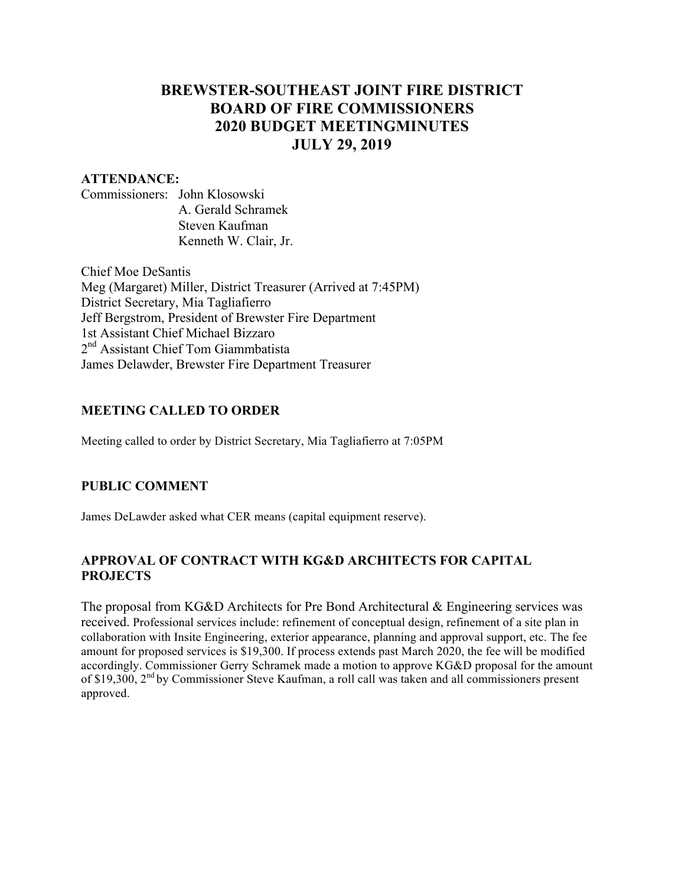# **BREWSTER-SOUTHEAST JOINT FIRE DISTRICT BOARD OF FIRE COMMISSIONERS 2020 BUDGET MEETINGMINUTES JULY 29, 2019**

### **ATTENDANCE:**

Commissioners: John Klosowski A. Gerald Schramek Steven Kaufman Kenneth W. Clair, Jr.

Chief Moe DeSantis Meg (Margaret) Miller, District Treasurer (Arrived at 7:45PM) District Secretary, Mia Tagliafierro Jeff Bergstrom, President of Brewster Fire Department 1st Assistant Chief Michael Bizzaro 2<sup>nd</sup> Assistant Chief Tom Giammbatista James Delawder, Brewster Fire Department Treasurer

### **MEETING CALLED TO ORDER**

Meeting called to order by District Secretary, Mia Tagliafierro at 7:05PM

### **PUBLIC COMMENT**

James DeLawder asked what CER means (capital equipment reserve).

# **APPROVAL OF CONTRACT WITH KG&D ARCHITECTS FOR CAPITAL PROJECTS**

The proposal from KG&D Architects for Pre Bond Architectural & Engineering services was received. Professional services include: refinement of conceptual design, refinement of a site plan in collaboration with Insite Engineering, exterior appearance, planning and approval support, etc. The fee amount for proposed services is \$19,300. If process extends past March 2020, the fee will be modified accordingly. Commissioner Gerry Schramek made a motion to approve KG&D proposal for the amount of \$19,300, 2nd by Commissioner Steve Kaufman, a roll call was taken and all commissioners present approved.